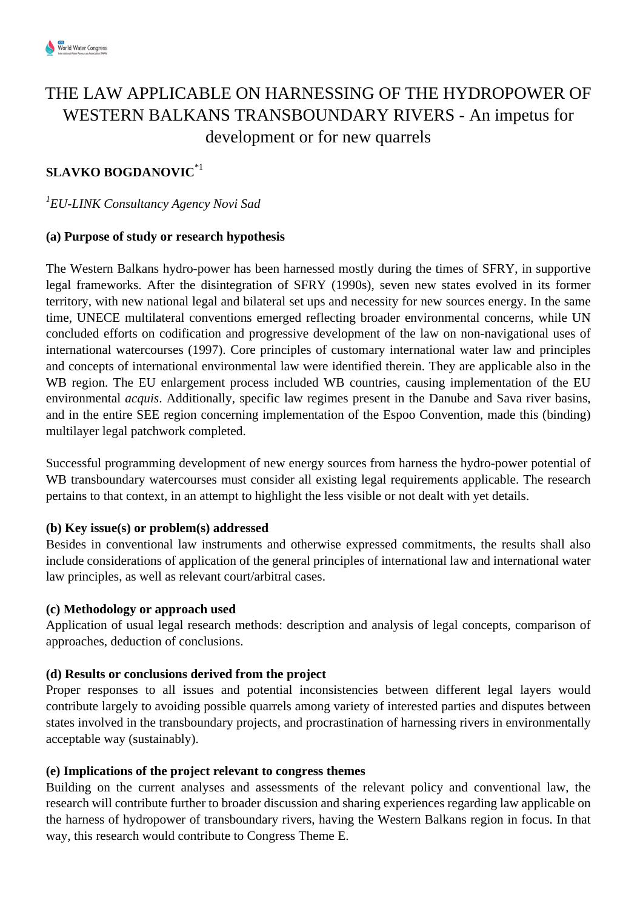# THE LAW APPLICABLE ON HARNESSING OF THE HYDROPOWER OF WESTERN BALKANS TRANSBOUNDARY RIVERS - An impetus for development or for new quarrels

# **SLAVKO BOGDANOVIC**\*1

## *1 EU-LINK Consultancy Agency Novi Sad*

### **(a) Purpose of study or research hypothesis**

The Western Balkans hydro-power has been harnessed mostly during the times of SFRY, in supportive legal frameworks. After the disintegration of SFRY (1990s), seven new states evolved in its former territory, with new national legal and bilateral set ups and necessity for new sources energy. In the same time, UNECE multilateral conventions emerged reflecting broader environmental concerns, while UN concluded efforts on codification and progressive development of the law on non-navigational uses of international watercourses (1997). Core principles of customary international water law and principles and concepts of international environmental law were identified therein. They are applicable also in the WB region. The EU enlargement process included WB countries, causing implementation of the EU environmental *acquis*. Additionally, specific law regimes present in the Danube and Sava river basins, and in the entire SEE region concerning implementation of the Espoo Convention, made this (binding) multilayer legal patchwork completed.

Successful programming development of new energy sources from harness the hydro-power potential of WB transboundary watercourses must consider all existing legal requirements applicable. The research pertains to that context, in an attempt to highlight the less visible or not dealt with yet details.

#### **(b) Key issue(s) or problem(s) addressed**

Besides in conventional law instruments and otherwise expressed commitments, the results shall also include considerations of application of the general principles of international law and international water law principles, as well as relevant court/arbitral cases.

#### **(c) Methodology or approach used**

Application of usual legal research methods: description and analysis of legal concepts, comparison of approaches, deduction of conclusions.

#### **(d) Results or conclusions derived from the project**

Proper responses to all issues and potential inconsistencies between different legal layers would contribute largely to avoiding possible quarrels among variety of interested parties and disputes between states involved in the transboundary projects, and procrastination of harnessing rivers in environmentally acceptable way (sustainably).

#### **(e) Implications of the project relevant to congress themes**

Building on the current analyses and assessments of the relevant policy and conventional law, the research will contribute further to broader discussion and sharing experiences regarding law applicable on the harness of hydropower of transboundary rivers, having the Western Balkans region in focus. In that way, this research would contribute to Congress Theme E.